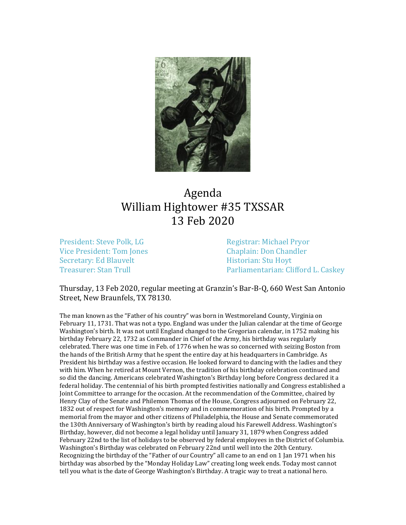

## Agenda William Hightower #35 TXSSAR 13 Feb 2020

President: Steve Polk, LG Registrar: Michael Pryor Vice President: Tom Jones Chaplain: Don Chandler Secretary: Ed Blauvelt **Historian: Stu Hoyt** 

Treasurer: Stan Trull **Parliamentarian: Clifford L. Caskey** 

Thursday, 13 Feb 2020, regular meeting at Granzin's Bar-B-Q, 660 West San Antonio Street, New Braunfels, TX 78130.

The man known as the "Father of his country" was born in Westmoreland County, Virginia on February 11, 1731. That was not a typo. England was under the Julian calendar at the time of George Washington's birth. It was not until England changed to the Gregorian calendar, in 1752 making his birthday February 22, 1732 as Commander in Chief of the Army, his birthday was regularly celebrated. There was one time in Feb. of 1776 when he was so concerned with seizing Boston from the hands of the British Army that he spent the entire day at his headquarters in Cambridge. As President his birthday was a festive occasion. He looked forward to dancing with the ladies and they with him. When he retired at Mount Vernon, the tradition of his birthday celebration continued and so did the dancing. Americans celebrated Washington's Birthday long before Congress declared it a federal holiday. The centennial of his birth prompted festivities nationally and Congress established a Joint Committee to arrange for the occasion. At the recommendation of the Committee, chaired by Henry Clay of the Senate and Philemon Thomas of the House, Congress adjourned on February 22, 1832 out of respect for Washington's memory and in commemoration of his birth. Prompted by a memorial from the mayor and other citizens of Philadelphia, the House and Senate commemorated the 130th Anniversary of Washington's birth by reading aloud his Farewell Address. Washington's Birthday, however, did not become a legal holiday until January 31, 1879 when Congress added February 22nd to the list of holidays to be observed by federal employees in the District of Columbia. Washington's Birthday was celebrated on February 22nd until well into the 20th Century. Recognizing the birthday of the "Father of our Country" all came to an end on 1 Jan 1971 when his birthday was absorbed by the "Monday Holiday Law" creating long week ends. Today most cannot tell you what is the date of George Washington's Birthday. A tragic way to treat a national hero.